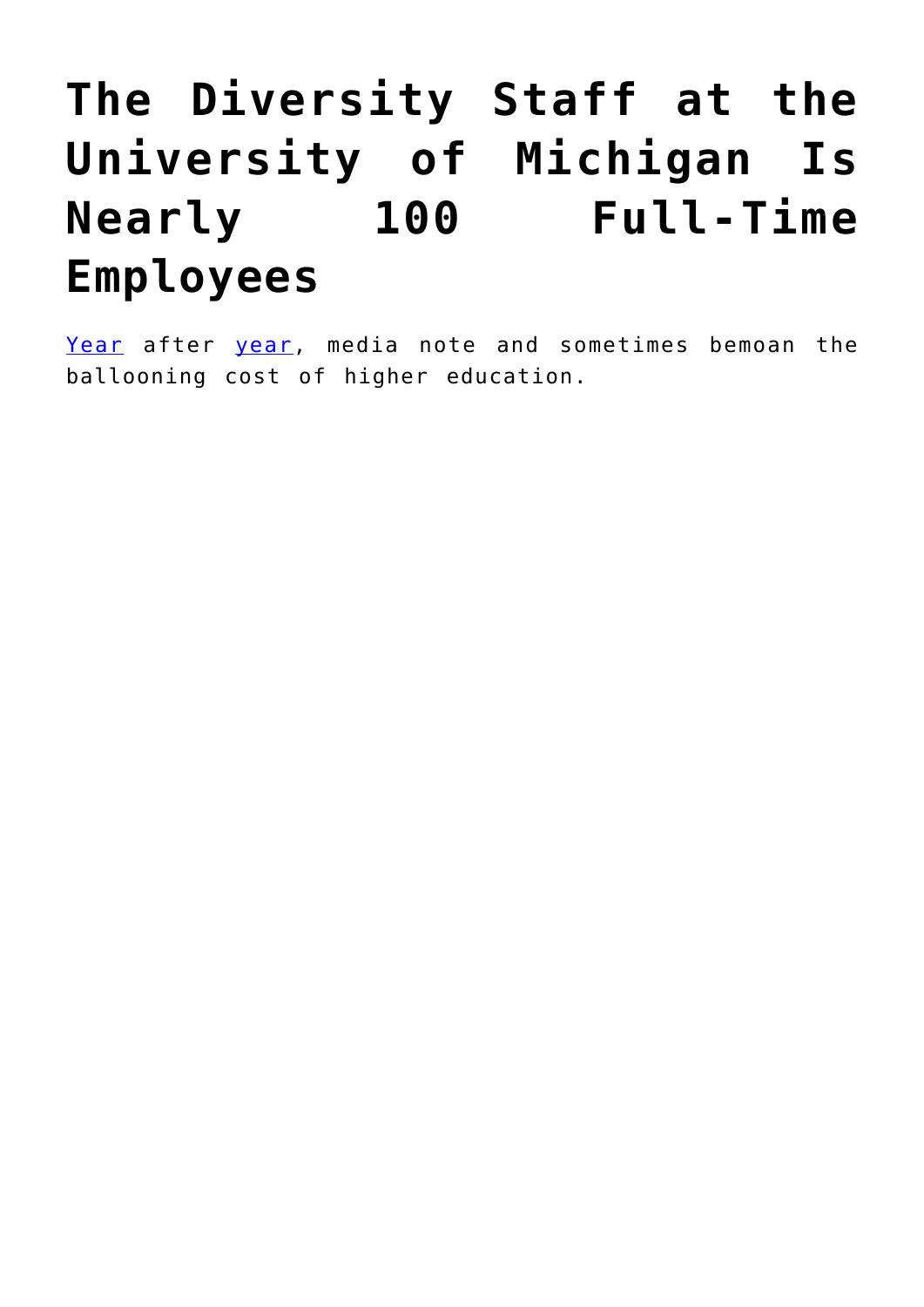## **[The Diversity Staff at the](https://intellectualtakeout.org/2018/05/the-diversity-staff-at-the-university-of-michigan-is-nearly-100-full-time-employees/) [University of Michigan Is](https://intellectualtakeout.org/2018/05/the-diversity-staff-at-the-university-of-michigan-is-nearly-100-full-time-employees/) [Nearly 100 Full-Time](https://intellectualtakeout.org/2018/05/the-diversity-staff-at-the-university-of-michigan-is-nearly-100-full-time-employees/) [Employees](https://intellectualtakeout.org/2018/05/the-diversity-staff-at-the-university-of-michigan-is-nearly-100-full-time-employees/)**

[Year](https://www.washingtonpost.com/news/grade-point/wp/2016/01/22/why-the-price-tag-of-a-college-degree-continues-to-rise/?utm_term=.5358f251b12d) after [year](https://www.insidehighered.com/news/2017/10/25/tuition-and-fees-still-rising-faster-aid-college-board-report-shows), media note and sometimes bemoan the ballooning cost of higher education.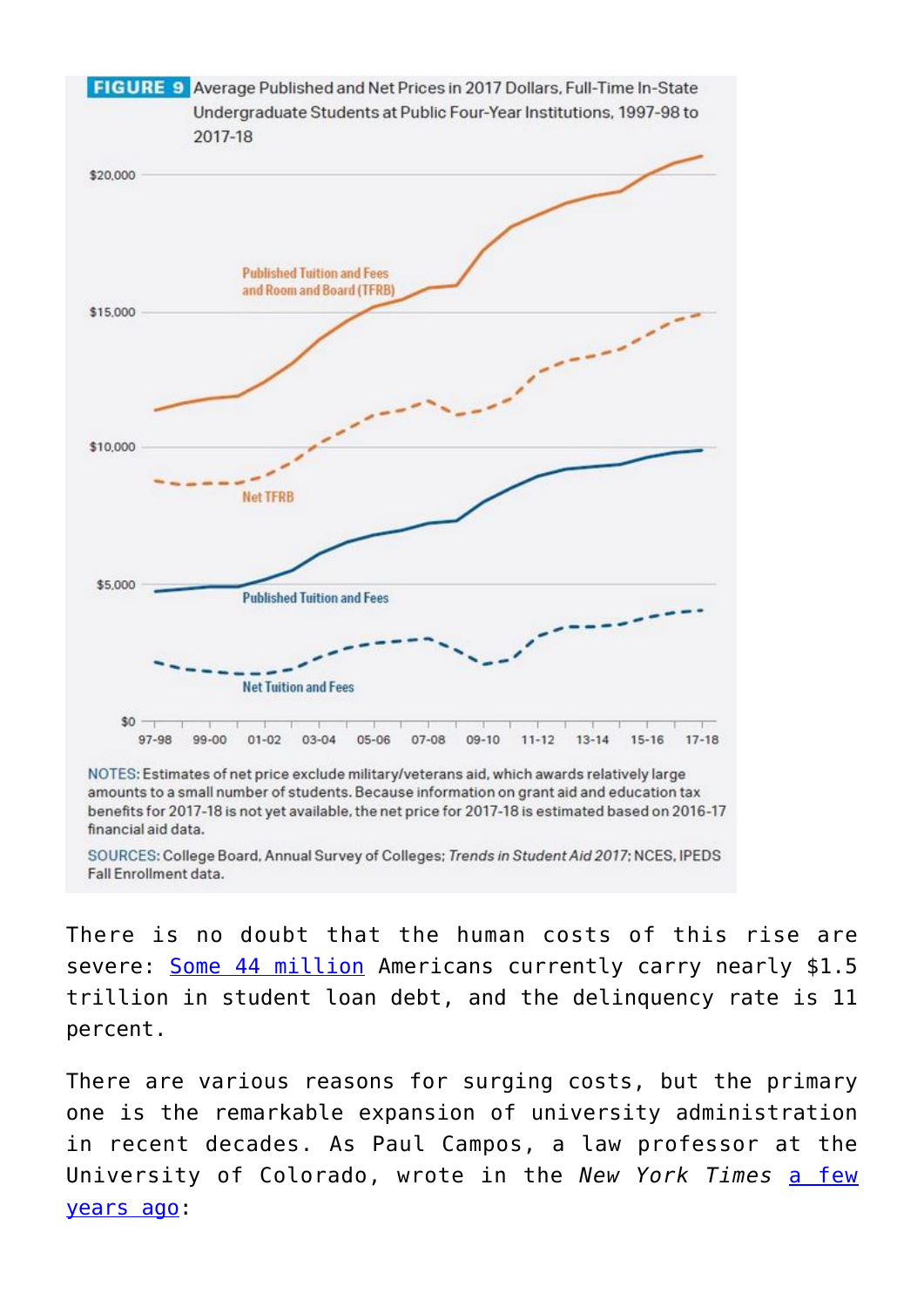

amounts to a small number of students. Because information on grant aid and education tax benefits for 2017-18 is not yet available, the net price for 2017-18 is estimated based on 2016-17 financial aid data.

SOURCES: College Board, Annual Survey of Colleges; Trends in Student Aid 2017; NCES, IPEDS Fall Enrollment data.

There is no doubt that the human costs of this rise are severe: [Some 44 million](https://studentloanhero.com/student-loan-debt-statistics/) Americans currently carry nearly \$1.5 trillion in student loan debt, and the delinquency rate is 11 percent.

There are various reasons for surging costs, but the primary one is the remarkable expansion of university administration in recent decades. As Paul Campos, a law professor at the University of Colorado, wrote in the *New York Times* [a few](https://www.nytimes.com/2015/04/05/opinion/sunday/the-real-reason-college-tuition-costs-so-much.html) [years ago:](https://www.nytimes.com/2015/04/05/opinion/sunday/the-real-reason-college-tuition-costs-so-much.html)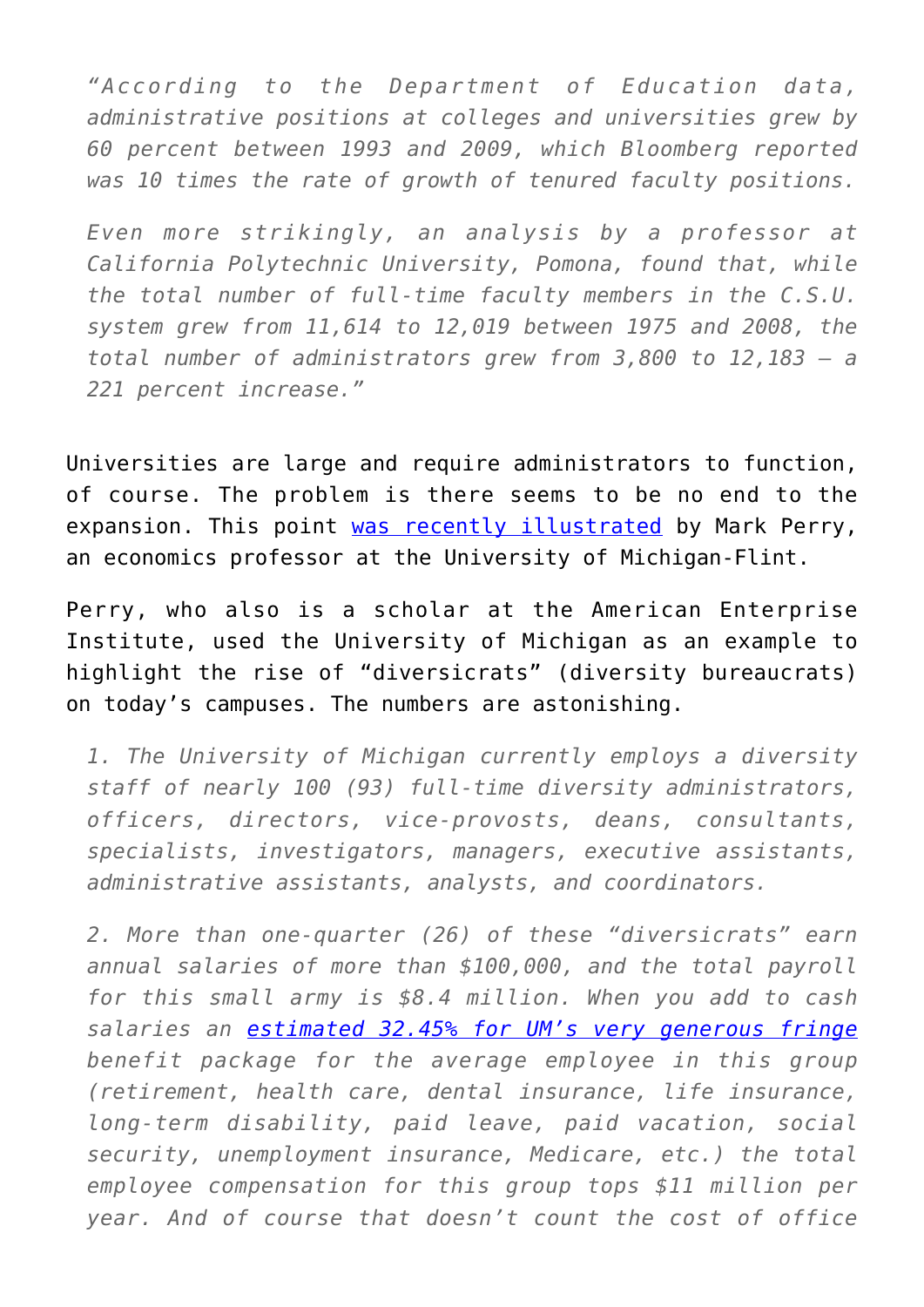*"According to the Department of Education data, administrative positions at colleges and universities grew by 60 percent between 1993 and 2009, which Bloomberg reported was 10 times the rate of growth of tenured faculty positions.*

*Even more strikingly, an analysis by a professor at California Polytechnic University, Pomona, found that, while the total number of full-time faculty members in the C.S.U. system grew from 11,614 to 12,019 between 1975 and 2008, the total number of administrators grew from 3,800 to 12,183 — a 221 percent increase."*

Universities are large and require administrators to function, of course. The problem is there seems to be no end to the expansion. This point [was recently illustrated](https://www.aei.org/publication/more-on-my-efforts-to-advance-diversity-equity-and-inclusion/) by Mark Perry, an economics professor at the University of Michigan-Flint.

Perry, who also is a scholar at the American Enterprise Institute, used the University of Michigan as an example to highlight the rise of "diversicrats" (diversity bureaucrats) on today's campuses. The numbers are astonishing.

*1. The University of Michigan currently employs a diversity staff of nearly 100 (93) full-time diversity administrators, officers, directors, vice-provosts, deans, consultants, specialists, investigators, managers, executive assistants, administrative assistants, analysts, and coordinators.*

*2. More than one-quarter (26) of these "diversicrats" earn annual salaries of more than \$100,000, and the total payroll for this small army is \$8.4 million. When you add to cash salaries an [estimated 32.45% for UM's very generous fringe](http://orsp.umich.edu/staff-fringe-benefits) benefit package for the average employee in this group (retirement, health care, dental insurance, life insurance, long-term disability, paid leave, paid vacation, social security, unemployment insurance, Medicare, etc.) the total employee compensation for this group tops \$11 million per year. And of course that doesn't count the cost of office*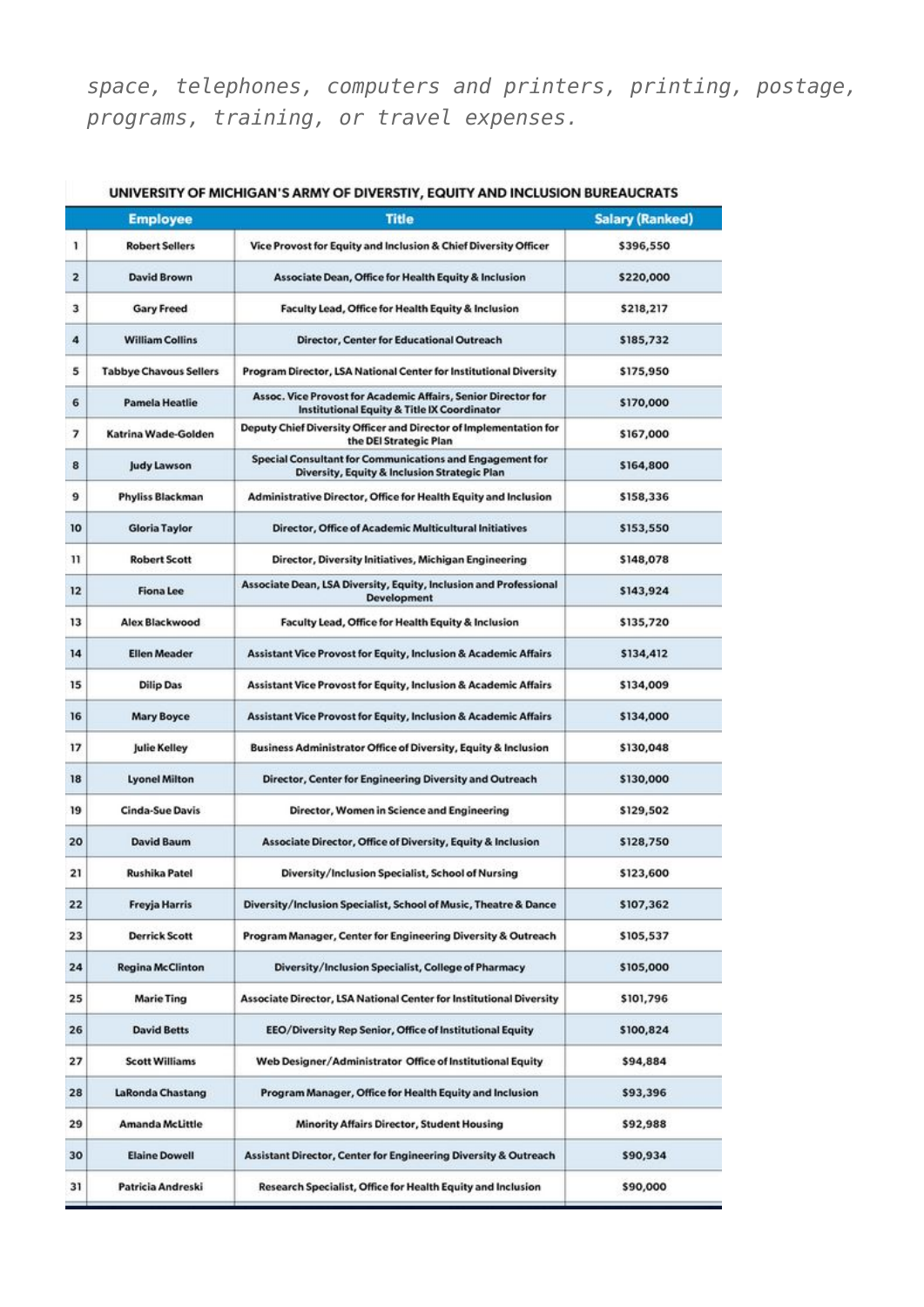*space, telephones, computers and printers, printing, postage, programs, training, or travel expenses.*

|              | <b>Employee</b>               | <b>Title</b>                                                                                                 | <b>Salary (Ranked)</b> |
|--------------|-------------------------------|--------------------------------------------------------------------------------------------------------------|------------------------|
| 1            | <b>Robert Sellers</b>         | Vice Provost for Equity and Inclusion & Chief Diversity Officer                                              | \$396,550              |
| $\mathbf{z}$ | <b>David Brown</b>            | <b>Associate Dean, Office for Health Equity &amp; Inclusion</b>                                              | \$220,000              |
| з            | <b>Gary Freed</b>             | Faculty Lead, Office for Health Equity & Inclusion                                                           | \$218,217              |
| 4            | <b>William Collins</b>        | Director, Center for Educational Outreach                                                                    | \$185,732              |
| 5            | <b>Tabbye Chavous Sellers</b> | Program Director, LSA National Center for Institutional Diversity                                            | \$175,950              |
| 6            | <b>Pamela Heatlie</b>         | Assoc. Vice Provost for Academic Affairs, Senior Director for<br>Institutional Equity & Title IX Coordinator | \$170,000              |
| 7            | Katrina Wade-Golden           | Deputy Chief Diversity Officer and Director of Implementation for<br>the DEI Strategic Plan                  | \$167,000              |
| 8            | Judy Lawson                   | Special Consultant for Communications and Engagement for<br>Diversity, Equity & Inclusion Strategic Plan     | \$164,800              |
| 9            | <b>Phyliss Blackman</b>       | Administrative Director, Office for Health Equity and Inclusion                                              | \$158,336              |
| 10           | <b>Gloria Taylor</b>          | Director, Office of Academic Multicultural Initiatives                                                       | \$153,550              |
| 11           | <b>Robert Scott</b>           | Director, Diversity Initiatives, Michigan Engineering                                                        | \$148,078              |
| 12           | <b>Fiona Lee</b>              | Associate Dean, LSA Diversity, Equity, Inclusion and Professional<br>Development                             | \$143,924              |
| 13           | Alex Blackwood                | Faculty Lead, Office for Health Equity & Inclusion                                                           | \$135,720              |
| 14           | <b>Ellen Meader</b>           | <b>Assistant Vice Provost for Equity, Inclusion &amp; Academic Affairs</b>                                   | \$134,412              |
| 15           | <b>Dilip Das</b>              | Assistant Vice Provost for Equity, Inclusion & Academic Affairs                                              | \$134,009              |
| 16           | <b>Mary Boyce</b>             | <b>Assistant Vice Provost for Equity, Inclusion &amp; Academic Affairs</b>                                   | \$134,000              |
| 17           | <b>Julie Kelley</b>           | <b>Business Administrator Office of Diversity, Equity &amp; Inclusion</b>                                    | \$130,048              |
| 18           | <b>Lyonel Milton</b>          | Director, Center for Engineering Diversity and Outreach                                                      | \$130,000              |
| 19           | <b>Cinda-Sue Davis</b>        | Director, Women in Science and Engineering                                                                   | \$129,502              |
| 20           | <b>David Baum</b>             | Associate Director, Office of Diversity, Equity & Inclusion                                                  | \$128,750              |
| 21           | <b>Rushika Patel</b>          | Diversity/Inclusion Specialist, School of Nursing                                                            | \$123,600              |
| 22           | <b>Freyja Harris</b>          | Diversity/Inclusion Specialist, School of Music, Theatre & Dance                                             | \$107,362              |
| 23           | <b>Derrick Scott</b>          | Program Manager, Center for Engineering Diversity & Outreach                                                 | \$105,537              |
| 24           | <b>Regina McClinton</b>       | Diversity/Inclusion Specialist, College of Pharmacy                                                          | \$105,000              |
| 25           | <b>Marie Ting</b>             | Associate Director, LSA National Center for Institutional Diversity                                          | \$101,796              |
| 26           | <b>David Betts</b>            | EEO/Diversity Rep Senior, Office of Institutional Equity                                                     | \$100,824              |
| 27           | <b>Scott Williams</b>         | Web Designer/Administrator Office of Institutional Equity                                                    | \$94,884               |
| 28           | LaRonda Chastang              | Program Manager, Office for Health Equity and Inclusion                                                      | \$93,396               |
| 29           | Amanda McLittle               | <b>Minority Affairs Director, Student Housing</b>                                                            | \$92,988               |
| 30           | <b>Elaine Dowell</b>          | Assistant Director, Center for Engineering Diversity & Outreach                                              | \$90,934               |
| 31           | Patricia Andreski             | Research Specialist, Office for Health Equity and Inclusion                                                  | \$90,000               |